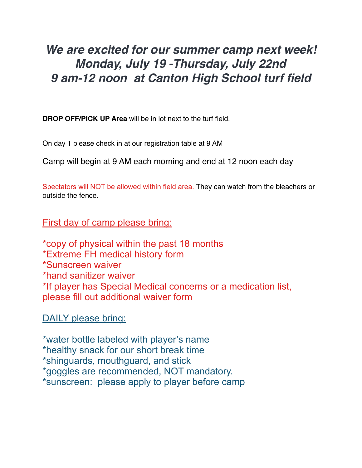## *We are excited for our summer camp next week! Monday, July 19 -Thursday, July 22nd 9 am-12 noon at Canton High School turf field*

**DROP OFF/PICK UP Area** will be in lot next to the turf field.

On day 1 please check in at our registration table at 9 AM

Camp will begin at 9 AM each morning and end at 12 noon each day

Spectators will NOT be allowed within field area. They can watch from the bleachers or outside the fence.

First day of camp please bring:

\*copy of physical within the past 18 months \*Extreme FH medical history form \*Sunscreen waiver \*hand sanitizer waiver \*If player has Special Medical concerns or a medication list, please fill out additional waiver form

DAILY please bring:

\*water bottle labeled with player's name \*healthy snack for our short break time \*shinguards, mouthguard, and stick \*goggles are recommended, NOT mandatory. \*sunscreen: please apply to player before camp